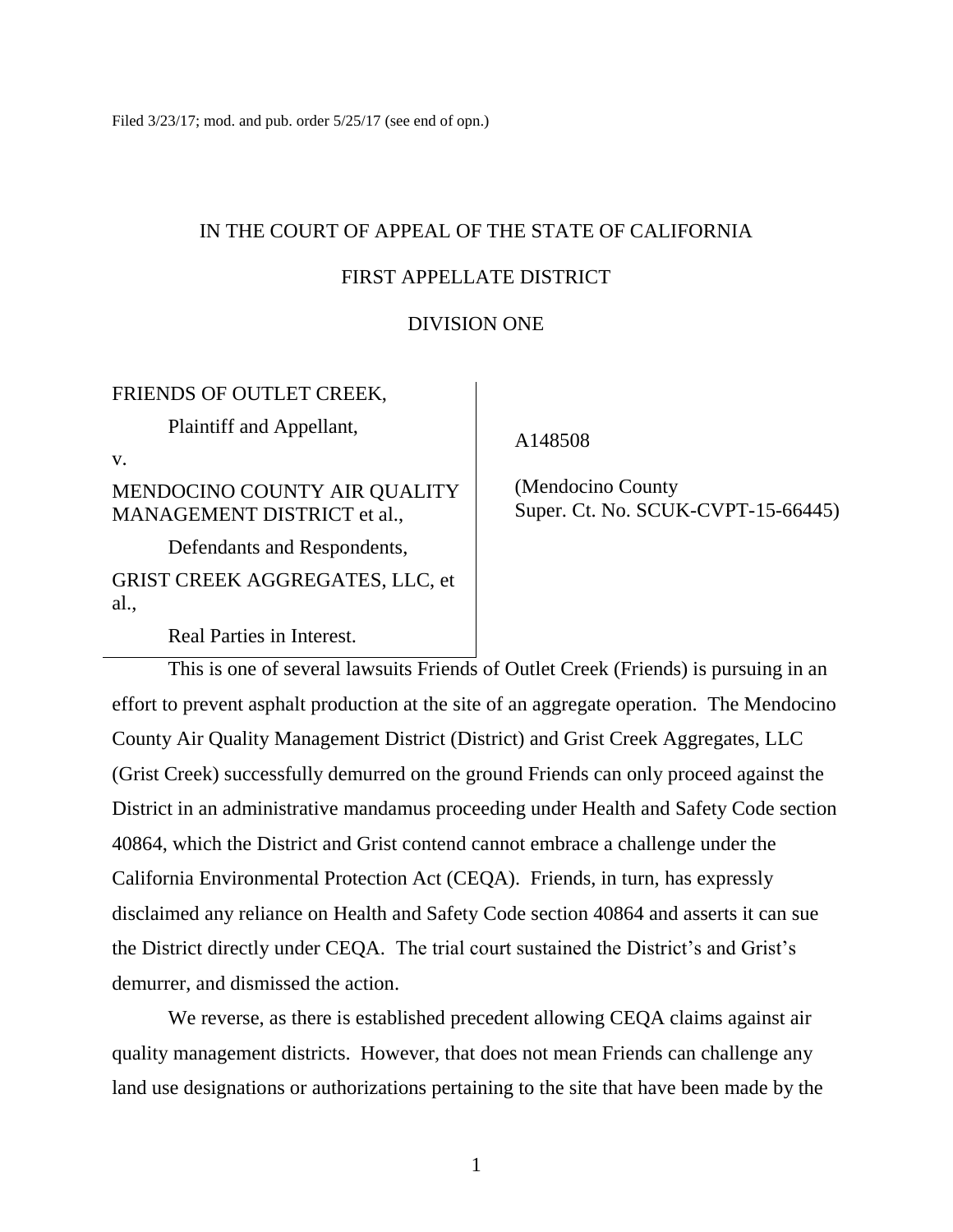## IN THE COURT OF APPEAL OF THE STATE OF CALIFORNIA

## FIRST APPELLATE DISTRICT

## DIVISION ONE

### FRIENDS OF OUTLET CREEK,

Plaintiff and Appellant,

v.

MENDOCINO COUNTY AIR QUALITY MANAGEMENT DISTRICT et al.,

Defendants and Respondents, GRIST CREEK AGGREGATES, LLC, et al.,

Real Parties in Interest.

A148508

 (Mendocino County Super. Ct. No. SCUK-CVPT-15-66445)

This is one of several lawsuits Friends of Outlet Creek (Friends) is pursuing in an effort to prevent asphalt production at the site of an aggregate operation. The Mendocino County Air Quality Management District (District) and Grist Creek Aggregates, LLC (Grist Creek) successfully demurred on the ground Friends can only proceed against the District in an administrative mandamus proceeding under Health and Safety Code section 40864, which the District and Grist contend cannot embrace a challenge under the California Environmental Protection Act (CEQA). Friends, in turn, has expressly disclaimed any reliance on Health and Safety Code section 40864 and asserts it can sue the District directly under CEQA. The trial court sustained the District's and Grist's demurrer, and dismissed the action.

We reverse, as there is established precedent allowing CEQA claims against air quality management districts. However, that does not mean Friends can challenge any land use designations or authorizations pertaining to the site that have been made by the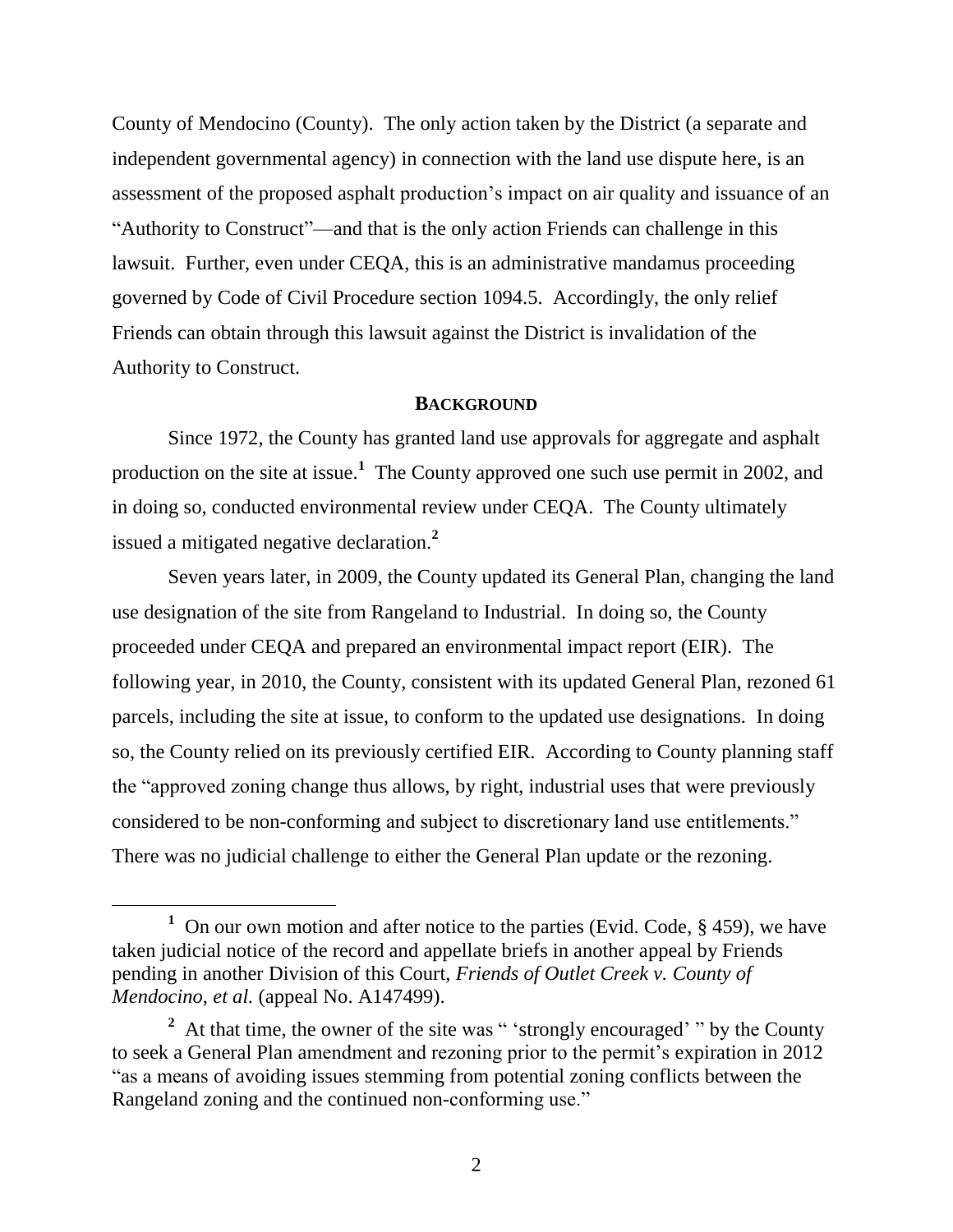County of Mendocino (County). The only action taken by the District (a separate and independent governmental agency) in connection with the land use dispute here, is an assessment of the proposed asphalt production's impact on air quality and issuance of an "Authority to Construct"—and that is the only action Friends can challenge in this lawsuit. Further, even under CEQA, this is an administrative mandamus proceeding governed by Code of Civil Procedure section 1094.5. Accordingly, the only relief Friends can obtain through this lawsuit against the District is invalidation of the Authority to Construct.

## **BACKGROUND**

Since 1972, the County has granted land use approvals for aggregate and asphalt production on the site at issue.**<sup>1</sup>** The County approved one such use permit in 2002, and in doing so, conducted environmental review under CEQA. The County ultimately issued a mitigated negative declaration. **2**

Seven years later, in 2009, the County updated its General Plan, changing the land use designation of the site from Rangeland to Industrial. In doing so, the County proceeded under CEQA and prepared an environmental impact report (EIR). The following year, in 2010, the County, consistent with its updated General Plan, rezoned 61 parcels, including the site at issue, to conform to the updated use designations. In doing so, the County relied on its previously certified EIR. According to County planning staff the "approved zoning change thus allows, by right, industrial uses that were previously considered to be non-conforming and subject to discretionary land use entitlements." There was no judicial challenge to either the General Plan update or the rezoning.

 $\overline{a}$ 

<sup>&</sup>lt;sup>1</sup> On our own motion and after notice to the parties (Evid. Code, § 459), we have taken judicial notice of the record and appellate briefs in another appeal by Friends pending in another Division of this Court, *Friends of Outlet Creek v. County of Mendocino*, *et al.* (appeal No. A147499).

<sup>&</sup>lt;sup>2</sup> At that time, the owner of the site was " 'strongly encouraged' " by the County to seek a General Plan amendment and rezoning prior to the permit's expiration in 2012 "as a means of avoiding issues stemming from potential zoning conflicts between the Rangeland zoning and the continued non-conforming use."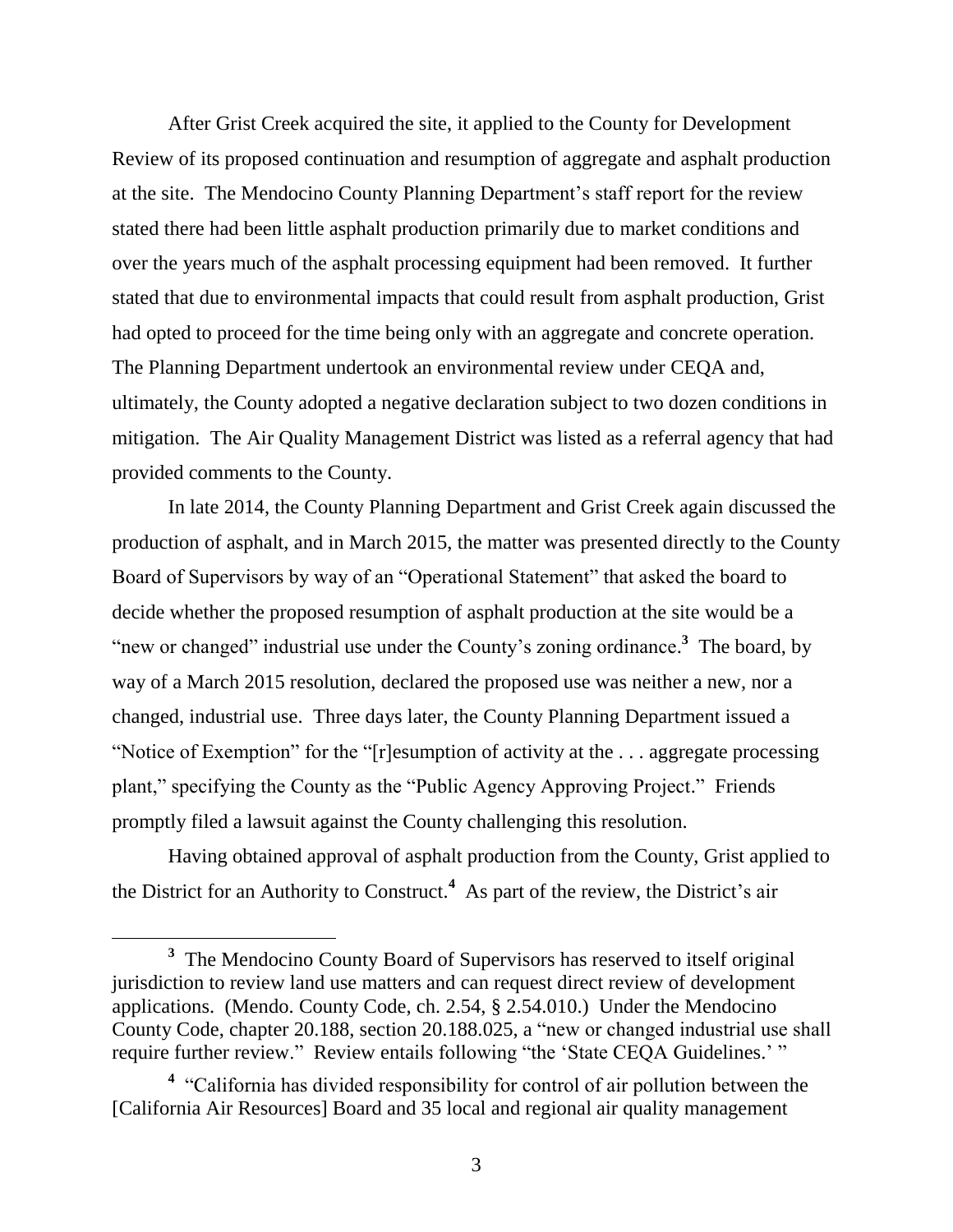After Grist Creek acquired the site, it applied to the County for Development Review of its proposed continuation and resumption of aggregate and asphalt production at the site. The Mendocino County Planning Department's staff report for the review stated there had been little asphalt production primarily due to market conditions and over the years much of the asphalt processing equipment had been removed. It further stated that due to environmental impacts that could result from asphalt production, Grist had opted to proceed for the time being only with an aggregate and concrete operation. The Planning Department undertook an environmental review under CEQA and, ultimately, the County adopted a negative declaration subject to two dozen conditions in mitigation. The Air Quality Management District was listed as a referral agency that had provided comments to the County.

In late 2014, the County Planning Department and Grist Creek again discussed the production of asphalt, and in March 2015, the matter was presented directly to the County Board of Supervisors by way of an "Operational Statement" that asked the board to decide whether the proposed resumption of asphalt production at the site would be a "new or changed" industrial use under the County's zoning ordinance. **3** The board, by way of a March 2015 resolution, declared the proposed use was neither a new, nor a changed, industrial use. Three days later, the County Planning Department issued a "Notice of Exemption" for the "[r]esumption of activity at the . . . aggregate processing plant," specifying the County as the "Public Agency Approving Project." Friends promptly filed a lawsuit against the County challenging this resolution.

Having obtained approval of asphalt production from the County, Grist applied to the District for an Authority to Construct.<sup>4</sup> As part of the review, the District's air

<sup>&</sup>lt;sup>3</sup> The Mendocino County Board of Supervisors has reserved to itself original jurisdiction to review land use matters and can request direct review of development applications. (Mendo. County Code, ch. 2.54, § 2.54.010.) Under the Mendocino County Code, chapter 20.188, section 20.188.025, a "new or changed industrial use shall require further review." Review entails following "the 'State CEQA Guidelines.' "

<sup>&</sup>lt;sup>4</sup> "California has divided responsibility for control of air pollution between the [California Air Resources] Board and 35 local and regional air quality management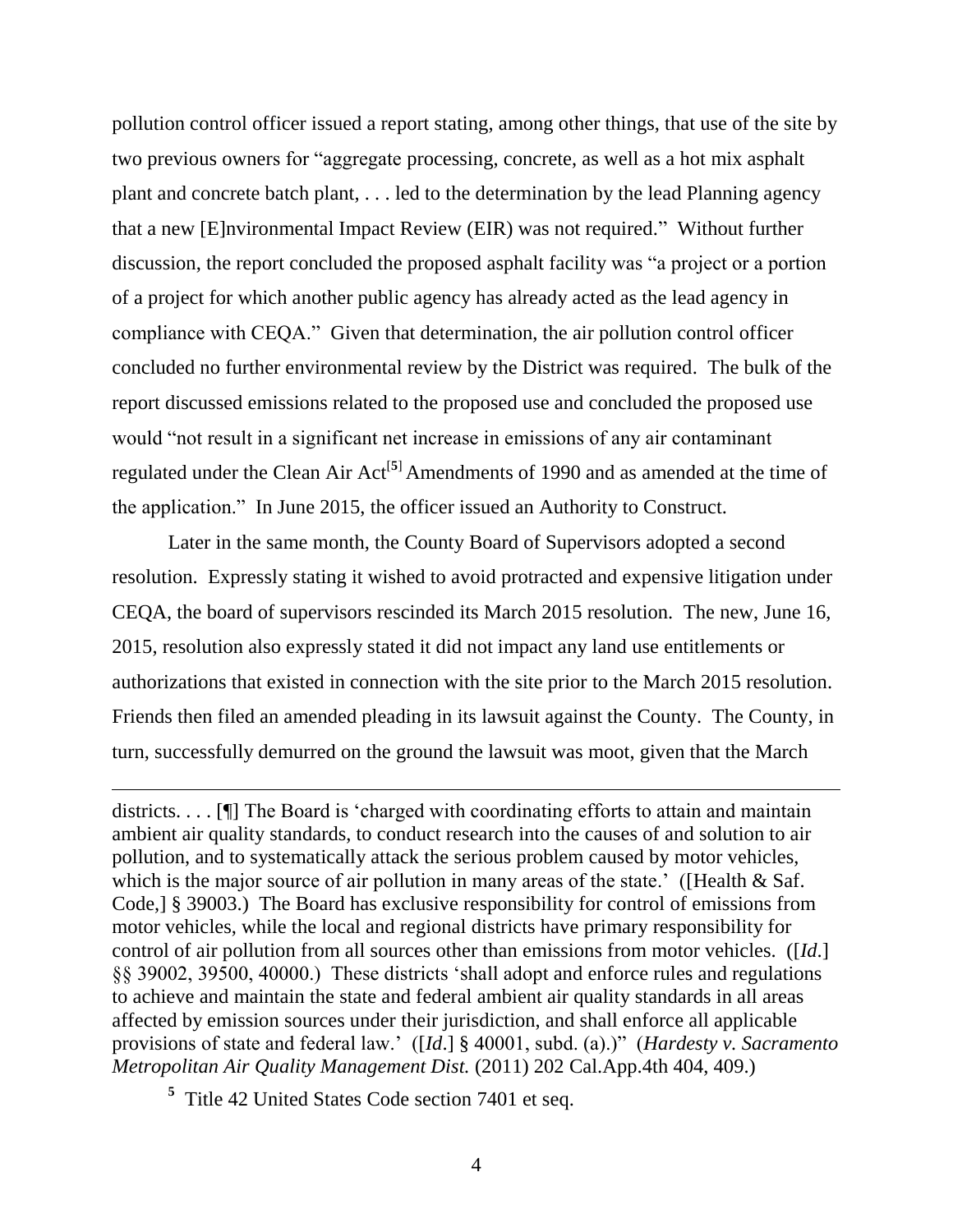pollution control officer issued a report stating, among other things, that use of the site by two previous owners for "aggregate processing, concrete, as well as a hot mix asphalt plant and concrete batch plant, . . . led to the determination by the lead Planning agency that a new [E]nvironmental Impact Review (EIR) was not required." Without further discussion, the report concluded the proposed asphalt facility was "a project or a portion of a project for which another public agency has already acted as the lead agency in compliance with CEQA." Given that determination, the air pollution control officer concluded no further environmental review by the District was required. The bulk of the report discussed emissions related to the proposed use and concluded the proposed use would "not result in a significant net increase in emissions of any air contaminant regulated under the Clean Air Act<sup>[5]</sup> Amendments of 1990 and as amended at the time of the application." In June 2015, the officer issued an Authority to Construct.

Later in the same month, the County Board of Supervisors adopted a second resolution. Expressly stating it wished to avoid protracted and expensive litigation under CEQA, the board of supervisors rescinded its March 2015 resolution. The new, June 16, 2015, resolution also expressly stated it did not impact any land use entitlements or authorizations that existed in connection with the site prior to the March 2015 resolution. Friends then filed an amended pleading in its lawsuit against the County. The County, in turn, successfully demurred on the ground the lawsuit was moot, given that the March

districts. . . . [¶] The Board is 'charged with coordinating efforts to attain and maintain ambient air quality standards, to conduct research into the causes of and solution to air pollution, and to systematically attack the serious problem caused by motor vehicles, which is the major source of air pollution in many areas of the state.' (Health & Saf. Code,] § 39003.) The Board has exclusive responsibility for control of emissions from motor vehicles, while the local and regional districts have primary responsibility for control of air pollution from all sources other than emissions from motor vehicles. ([*Id*.] §§ 39002, 39500, 40000.) These districts 'shall adopt and enforce rules and regulations to achieve and maintain the state and federal ambient air quality standards in all areas affected by emission sources under their jurisdiction, and shall enforce all applicable provisions of state and federal law.' ([*Id*.] § 40001, subd. (a).)" (*Hardesty v. Sacramento Metropolitan Air Quality Management Dist.* (2011) 202 Cal.App.4th 404, 409.)

**5** Title 42 United States Code section 7401 et seq.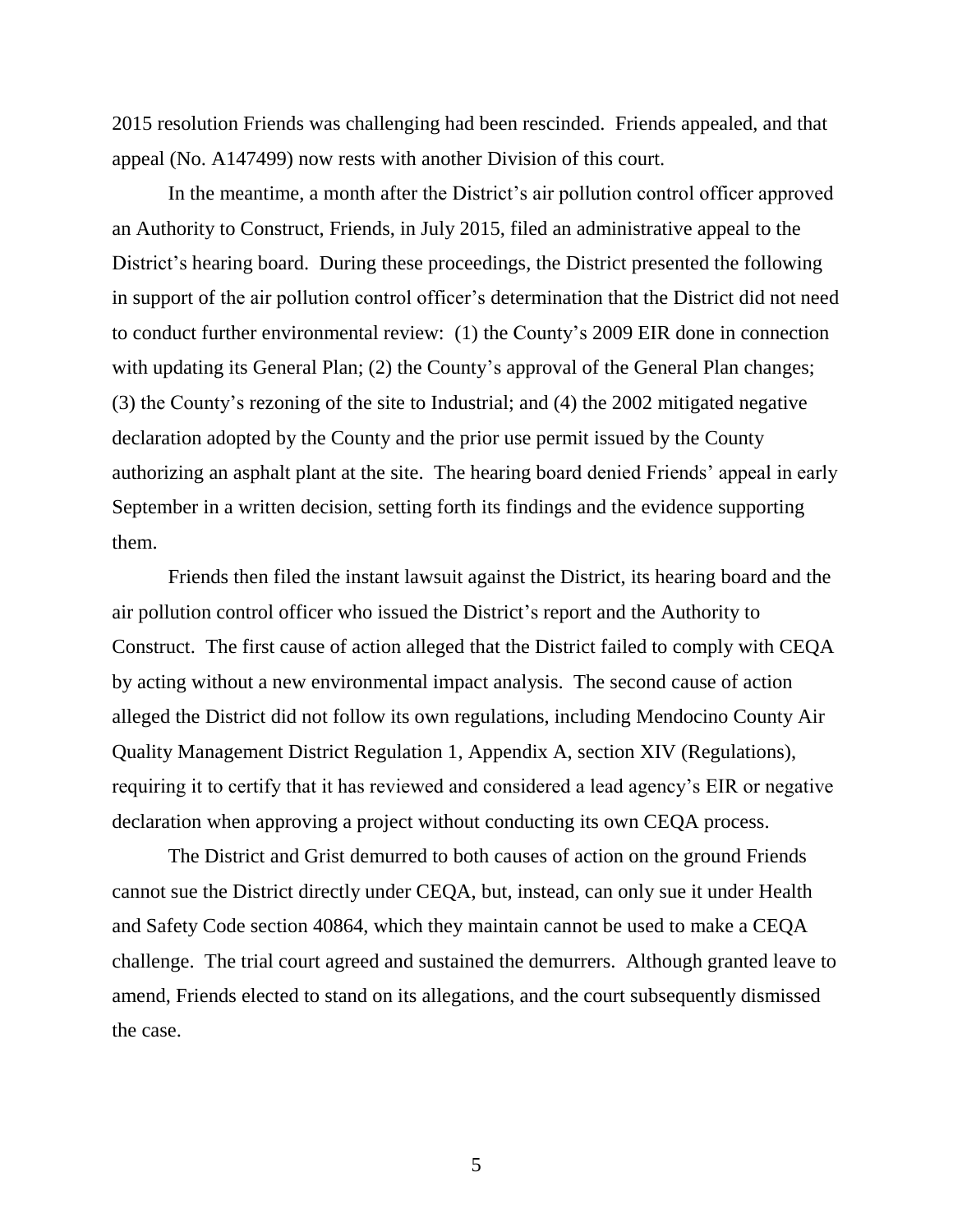2015 resolution Friends was challenging had been rescinded. Friends appealed, and that appeal (No. A147499) now rests with another Division of this court.

In the meantime, a month after the District's air pollution control officer approved an Authority to Construct, Friends, in July 2015, filed an administrative appeal to the District's hearing board. During these proceedings, the District presented the following in support of the air pollution control officer's determination that the District did not need to conduct further environmental review: (1) the County's 2009 EIR done in connection with updating its General Plan; (2) the County's approval of the General Plan changes; (3) the County's rezoning of the site to Industrial; and (4) the 2002 mitigated negative declaration adopted by the County and the prior use permit issued by the County authorizing an asphalt plant at the site. The hearing board denied Friends' appeal in early September in a written decision, setting forth its findings and the evidence supporting them.

Friends then filed the instant lawsuit against the District, its hearing board and the air pollution control officer who issued the District's report and the Authority to Construct. The first cause of action alleged that the District failed to comply with CEQA by acting without a new environmental impact analysis. The second cause of action alleged the District did not follow its own regulations, including Mendocino County Air Quality Management District Regulation 1, Appendix A, section XIV (Regulations), requiring it to certify that it has reviewed and considered a lead agency's EIR or negative declaration when approving a project without conducting its own CEQA process.

The District and Grist demurred to both causes of action on the ground Friends cannot sue the District directly under CEQA, but, instead, can only sue it under Health and Safety Code section 40864, which they maintain cannot be used to make a CEQA challenge. The trial court agreed and sustained the demurrers. Although granted leave to amend, Friends elected to stand on its allegations, and the court subsequently dismissed the case.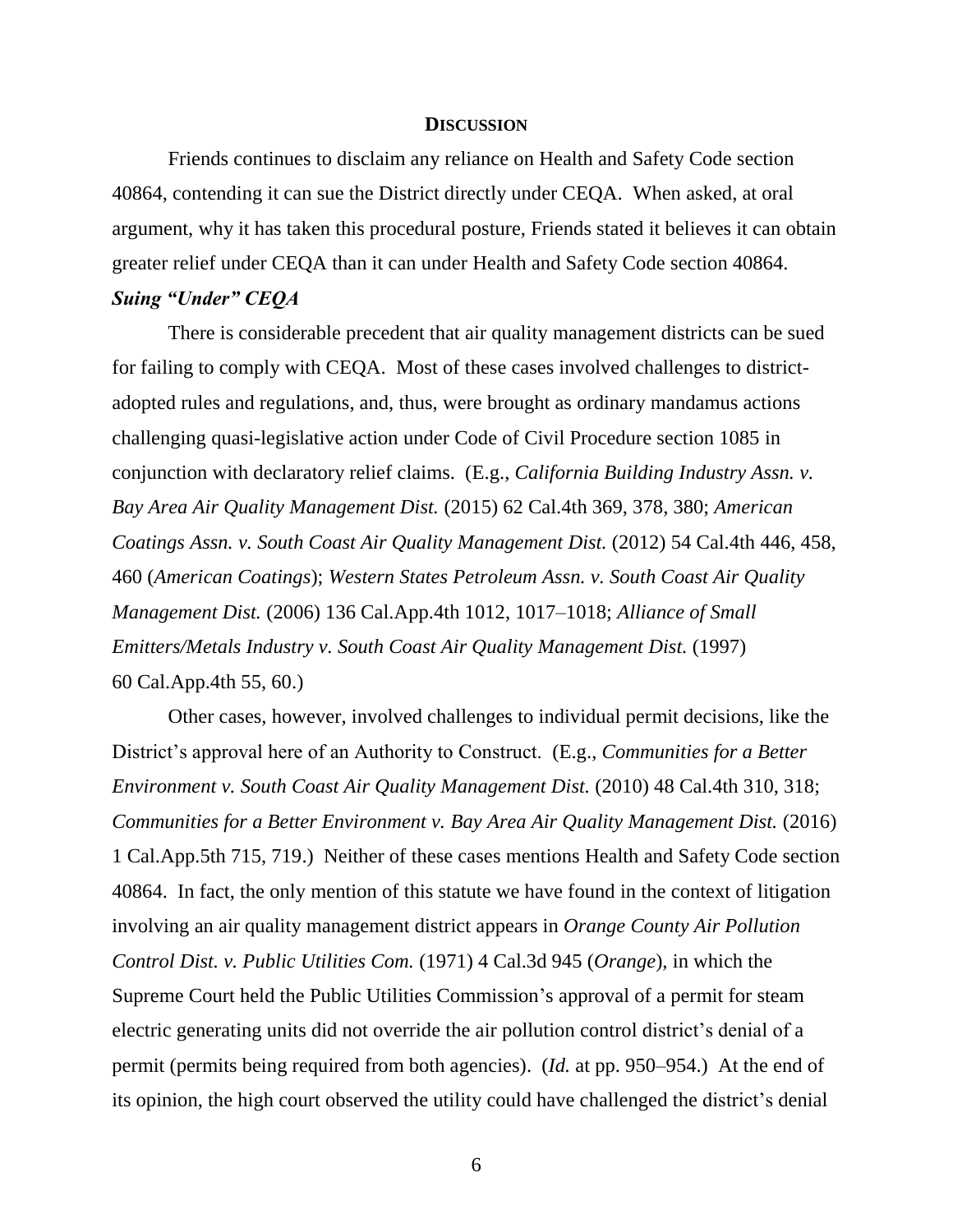#### **DISCUSSION**

Friends continues to disclaim any reliance on Health and Safety Code section 40864, contending it can sue the District directly under CEQA. When asked, at oral argument, why it has taken this procedural posture, Friends stated it believes it can obtain greater relief under CEQA than it can under Health and Safety Code section 40864.

### *Suing "Under" CEQA*

There is considerable precedent that air quality management districts can be sued for failing to comply with CEQA. Most of these cases involved challenges to districtadopted rules and regulations, and, thus, were brought as ordinary mandamus actions challenging quasi-legislative action under Code of Civil Procedure section 1085 in conjunction with declaratory relief claims. (E.g., *California Building Industry Assn. v. Bay Area Air Quality Management Dist.* (2015) 62 Cal.4th 369, 378, 380; *American Coatings Assn. v. South Coast Air Quality Management Dist.* (2012) 54 Cal.4th 446, 458, 460 (*American Coatings*); *Western States Petroleum Assn. v. South Coast Air Quality Management Dist.* (2006) 136 Cal.App.4th 1012, 1017–1018; *Alliance of Small Emitters/Metals Industry v. South Coast Air Quality Management Dist.* (1997) 60 Cal.App.4th 55, 60.)

Other cases, however, involved challenges to individual permit decisions, like the District's approval here of an Authority to Construct. (E.g., *Communities for a Better Environment v. South Coast Air Quality Management Dist.* (2010) 48 Cal.4th 310, 318; *Communities for a Better Environment v. Bay Area Air Quality Management Dist.* (2016) 1 Cal.App.5th 715, 719.) Neither of these cases mentions Health and Safety Code section 40864. In fact, the only mention of this statute we have found in the context of litigation involving an air quality management district appears in *Orange County Air Pollution Control Dist. v. Public Utilities Com.* (1971) 4 Cal.3d 945 (*Orange*), in which the Supreme Court held the Public Utilities Commission's approval of a permit for steam electric generating units did not override the air pollution control district's denial of a permit (permits being required from both agencies). (*Id.* at pp. 950–954.) At the end of its opinion, the high court observed the utility could have challenged the district's denial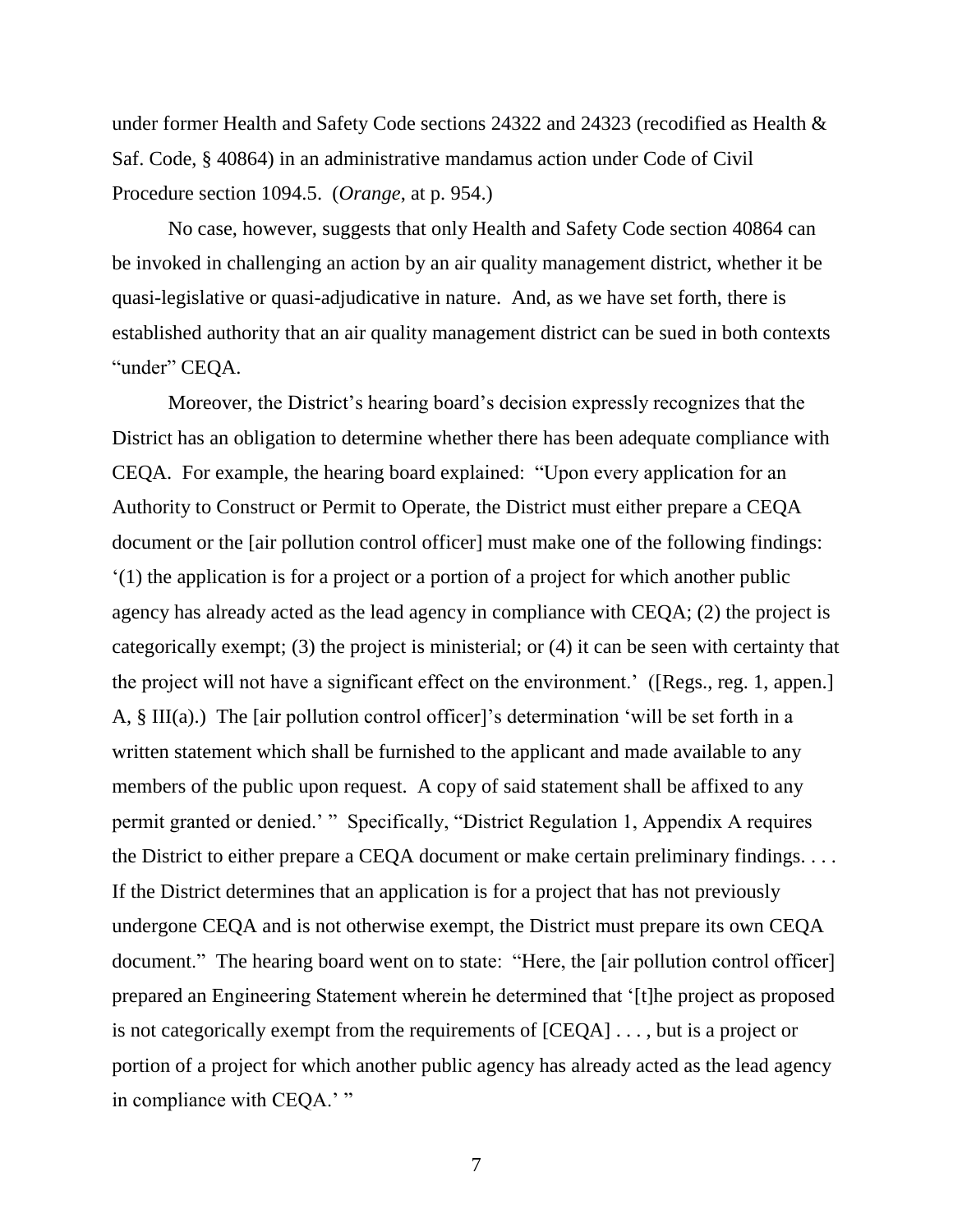under former Health and Safety Code sections 24322 and 24323 (recodified as Health & Saf. Code, § 40864) in an administrative mandamus action under Code of Civil Procedure section 1094.5. (*Orange*, at p. 954.)

No case, however, suggests that only Health and Safety Code section 40864 can be invoked in challenging an action by an air quality management district, whether it be quasi-legislative or quasi-adjudicative in nature. And, as we have set forth, there is established authority that an air quality management district can be sued in both contexts "under" CEQA.

Moreover, the District's hearing board's decision expressly recognizes that the District has an obligation to determine whether there has been adequate compliance with CEQA. For example, the hearing board explained: "Upon every application for an Authority to Construct or Permit to Operate, the District must either prepare a CEQA document or the [air pollution control officer] must make one of the following findings: '(1) the application is for a project or a portion of a project for which another public agency has already acted as the lead agency in compliance with CEQA; (2) the project is categorically exempt; (3) the project is ministerial; or (4) it can be seen with certainty that the project will not have a significant effect on the environment.' ([Regs., reg. 1, appen.] A, § III(a).) The [air pollution control officer]'s determination 'will be set forth in a written statement which shall be furnished to the applicant and made available to any members of the public upon request. A copy of said statement shall be affixed to any permit granted or denied.' " Specifically, "District Regulation 1, Appendix A requires the District to either prepare a CEQA document or make certain preliminary findings. . . . If the District determines that an application is for a project that has not previously undergone CEQA and is not otherwise exempt, the District must prepare its own CEQA document." The hearing board went on to state: "Here, the [air pollution control officer] prepared an Engineering Statement wherein he determined that '[t]he project as proposed is not categorically exempt from the requirements of [CEQA] . . . , but is a project or portion of a project for which another public agency has already acted as the lead agency in compliance with CEQA.' "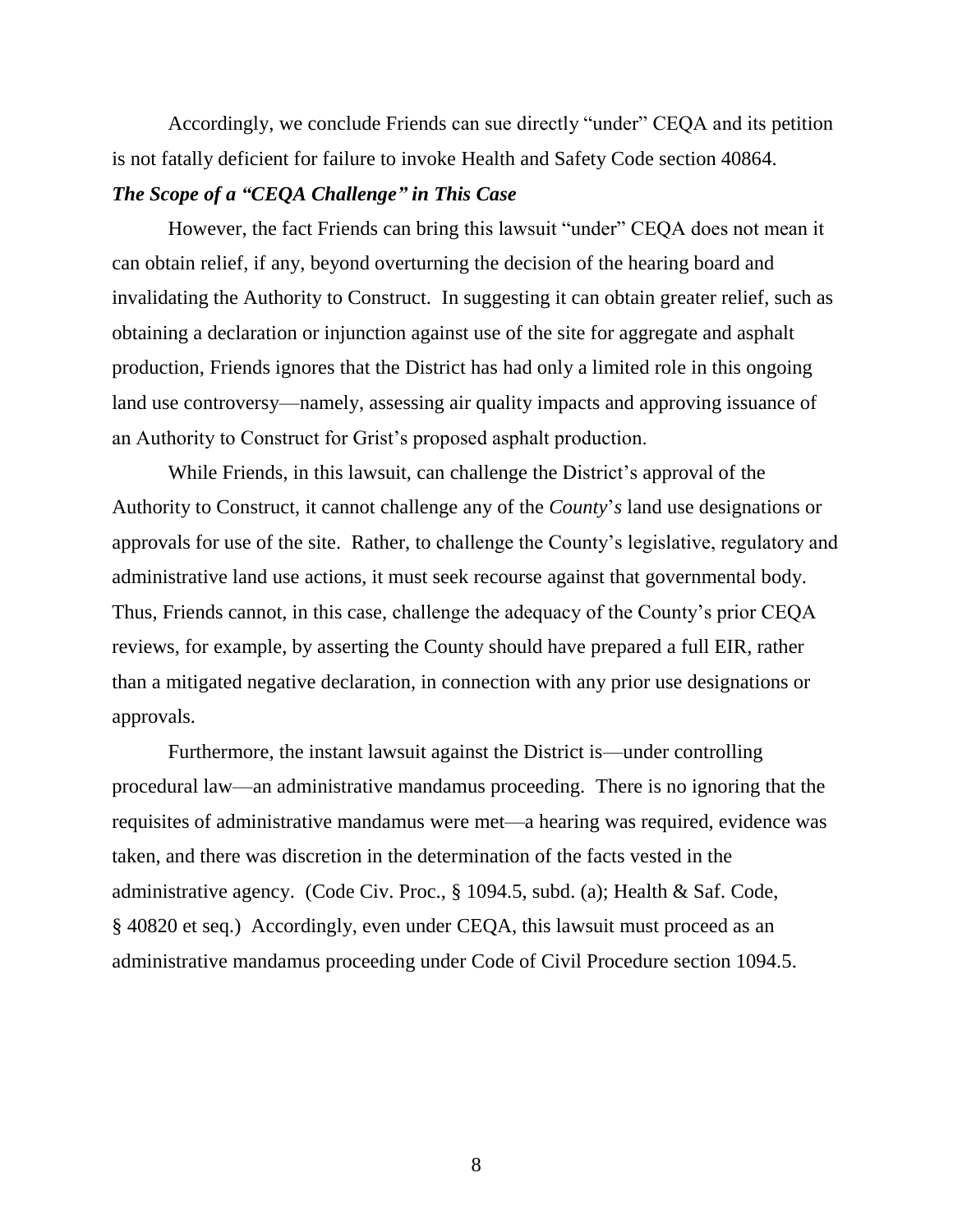Accordingly, we conclude Friends can sue directly "under" CEQA and its petition is not fatally deficient for failure to invoke Health and Safety Code section 40864.

## *The Scope of a "CEQA Challenge" in This Case*

However, the fact Friends can bring this lawsuit "under" CEQA does not mean it can obtain relief, if any, beyond overturning the decision of the hearing board and invalidating the Authority to Construct. In suggesting it can obtain greater relief, such as obtaining a declaration or injunction against use of the site for aggregate and asphalt production, Friends ignores that the District has had only a limited role in this ongoing land use controversy—namely, assessing air quality impacts and approving issuance of an Authority to Construct for Grist's proposed asphalt production.

While Friends, in this lawsuit, can challenge the District's approval of the Authority to Construct, it cannot challenge any of the *County*'*s* land use designations or approvals for use of the site. Rather, to challenge the County's legislative, regulatory and administrative land use actions, it must seek recourse against that governmental body. Thus, Friends cannot, in this case, challenge the adequacy of the County's prior CEQA reviews, for example, by asserting the County should have prepared a full EIR, rather than a mitigated negative declaration, in connection with any prior use designations or approvals.

Furthermore, the instant lawsuit against the District is—under controlling procedural law—an administrative mandamus proceeding. There is no ignoring that the requisites of administrative mandamus were met—a hearing was required, evidence was taken, and there was discretion in the determination of the facts vested in the administrative agency. (Code Civ. Proc., § 1094.5, subd. (a); Health & Saf. Code, § 40820 et seq.) Accordingly, even under CEQA, this lawsuit must proceed as an administrative mandamus proceeding under Code of Civil Procedure section 1094.5.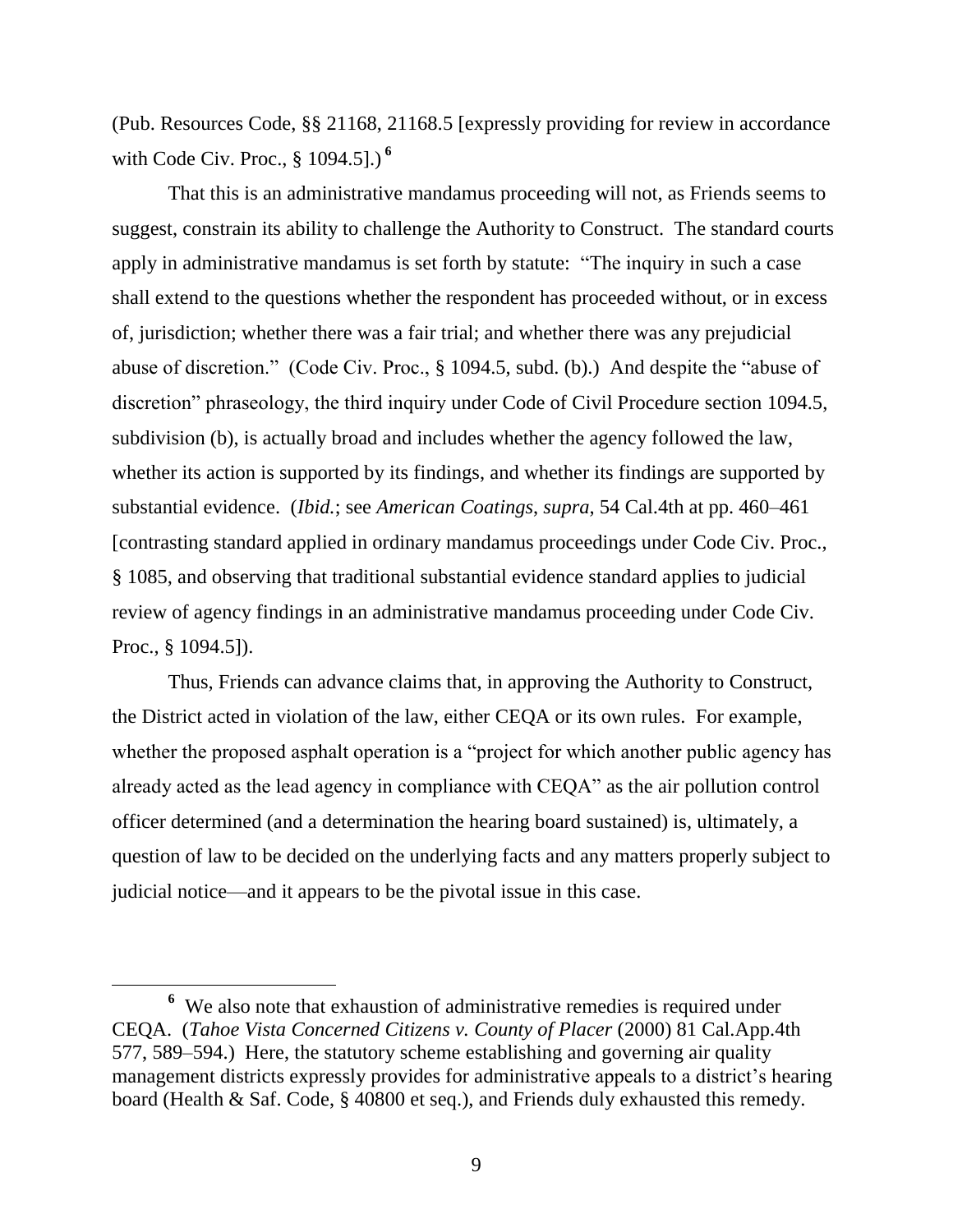(Pub. Resources Code, §§ 21168, 21168.5 [expressly providing for review in accordance with Code Civ. Proc., § 1094.5].) **<sup>6</sup>**

That this is an administrative mandamus proceeding will not, as Friends seems to suggest, constrain its ability to challenge the Authority to Construct. The standard courts apply in administrative mandamus is set forth by statute: "The inquiry in such a case shall extend to the questions whether the respondent has proceeded without, or in excess of, jurisdiction; whether there was a fair trial; and whether there was any prejudicial abuse of discretion." (Code Civ. Proc., § 1094.5, subd. (b).) And despite the "abuse of discretion" phraseology, the third inquiry under Code of Civil Procedure section 1094.5, subdivision (b), is actually broad and includes whether the agency followed the law, whether its action is supported by its findings, and whether its findings are supported by substantial evidence. (*Ibid.*; see *American Coatings*, *supra*, 54 Cal.4th at pp. 460–461 [contrasting standard applied in ordinary mandamus proceedings under Code Civ. Proc., § 1085, and observing that traditional substantial evidence standard applies to judicial review of agency findings in an administrative mandamus proceeding under Code Civ. Proc., § 1094.5]).

Thus, Friends can advance claims that, in approving the Authority to Construct, the District acted in violation of the law, either CEQA or its own rules. For example, whether the proposed asphalt operation is a "project for which another public agency has already acted as the lead agency in compliance with CEQA" as the air pollution control officer determined (and a determination the hearing board sustained) is, ultimately, a question of law to be decided on the underlying facts and any matters properly subject to judicial notice—and it appears to be the pivotal issue in this case.

**<sup>6</sup>** We also note that exhaustion of administrative remedies is required under CEQA. (*Tahoe Vista Concerned Citizens v. County of Placer* (2000) 81 Cal.App.4th 577, 589–594.) Here, the statutory scheme establishing and governing air quality management districts expressly provides for administrative appeals to a district's hearing board (Health & Saf. Code, § 40800 et seq.), and Friends duly exhausted this remedy.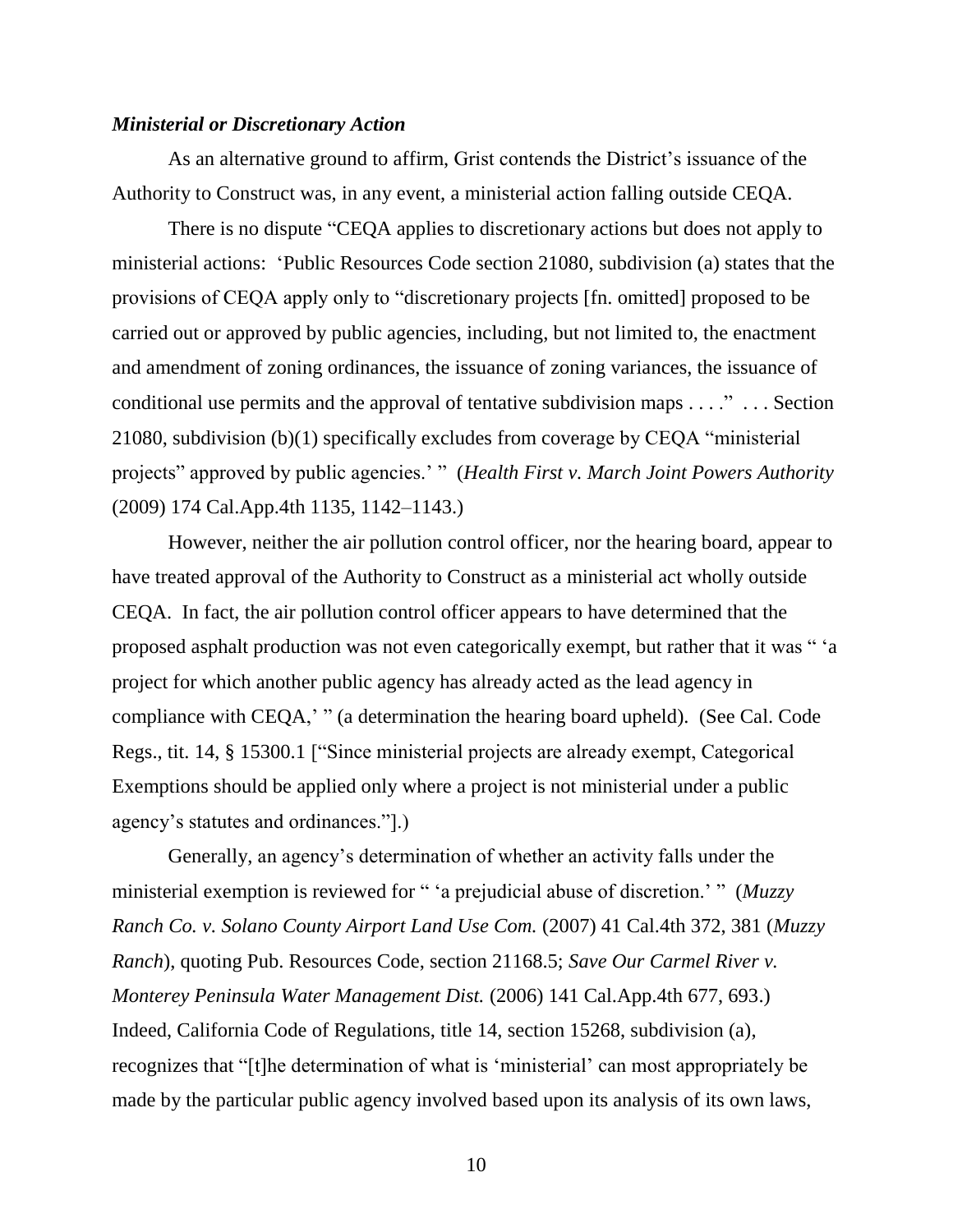#### *Ministerial or Discretionary Action*

As an alternative ground to affirm, Grist contends the District's issuance of the Authority to Construct was, in any event, a ministerial action falling outside CEQA.

There is no dispute "CEQA applies to discretionary actions but does not apply to ministerial actions: 'Public Resources Code section 21080, subdivision (a) states that the provisions of CEQA apply only to "discretionary projects [fn. omitted] proposed to be carried out or approved by public agencies, including, but not limited to, the enactment and amendment of zoning ordinances, the issuance of zoning variances, the issuance of conditional use permits and the approval of tentative subdivision maps  $\dots$  " $\dots$ ". 21080, subdivision (b)(1) specifically excludes from coverage by CEQA "ministerial projects" approved by public agencies.' " (*Health First v. March Joint Powers Authority* (2009) 174 Cal.App.4th 1135, 1142–1143.)

However, neither the air pollution control officer, nor the hearing board, appear to have treated approval of the Authority to Construct as a ministerial act wholly outside CEQA. In fact, the air pollution control officer appears to have determined that the proposed asphalt production was not even categorically exempt, but rather that it was " 'a project for which another public agency has already acted as the lead agency in compliance with CEQA,' " (a determination the hearing board upheld). (See Cal. Code Regs., tit. 14, § 15300.1 ["Since ministerial projects are already exempt, Categorical Exemptions should be applied only where a project is not ministerial under a public agency's statutes and ordinances."].)

Generally, an agency's determination of whether an activity falls under the ministerial exemption is reviewed for " 'a prejudicial abuse of discretion.' " (*Muzzy Ranch Co. v. Solano County Airport Land Use Com.* (2007) 41 Cal.4th 372, 381 (*Muzzy Ranch*), quoting Pub. Resources Code, section 21168.5; *Save Our Carmel River v. Monterey Peninsula Water Management Dist.* (2006) 141 Cal.App.4th 677, 693.) Indeed, California Code of Regulations, title 14, section 15268, subdivision (a), recognizes that "[t]he determination of what is 'ministerial' can most appropriately be made by the particular public agency involved based upon its analysis of its own laws,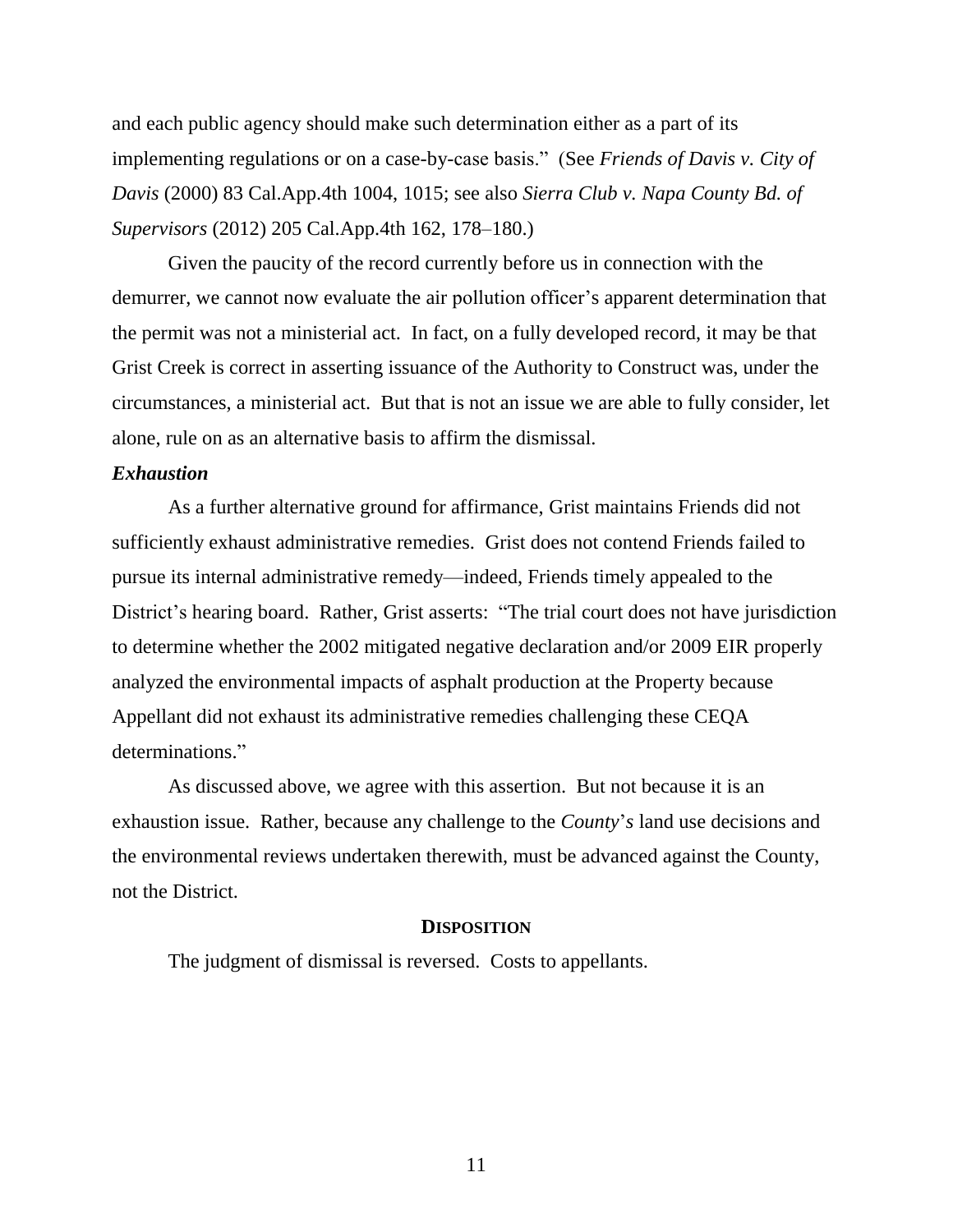and each public agency should make such determination either as a part of its implementing regulations or on a case-by-case basis." (See *Friends of Davis v. City of Davis* (2000) 83 Cal.App.4th 1004, 1015; see also *Sierra Club v. Napa County Bd. of Supervisors* (2012) 205 Cal.App.4th 162, 178–180.)

Given the paucity of the record currently before us in connection with the demurrer, we cannot now evaluate the air pollution officer's apparent determination that the permit was not a ministerial act. In fact, on a fully developed record, it may be that Grist Creek is correct in asserting issuance of the Authority to Construct was, under the circumstances, a ministerial act. But that is not an issue we are able to fully consider, let alone, rule on as an alternative basis to affirm the dismissal.

#### *Exhaustion*

As a further alternative ground for affirmance, Grist maintains Friends did not sufficiently exhaust administrative remedies. Grist does not contend Friends failed to pursue its internal administrative remedy—indeed, Friends timely appealed to the District's hearing board. Rather, Grist asserts: "The trial court does not have jurisdiction to determine whether the 2002 mitigated negative declaration and/or 2009 EIR properly analyzed the environmental impacts of asphalt production at the Property because Appellant did not exhaust its administrative remedies challenging these CEQA determinations."

As discussed above, we agree with this assertion. But not because it is an exhaustion issue. Rather, because any challenge to the *County*'*s* land use decisions and the environmental reviews undertaken therewith, must be advanced against the County, not the District.

#### **DISPOSITION**

The judgment of dismissal is reversed. Costs to appellants.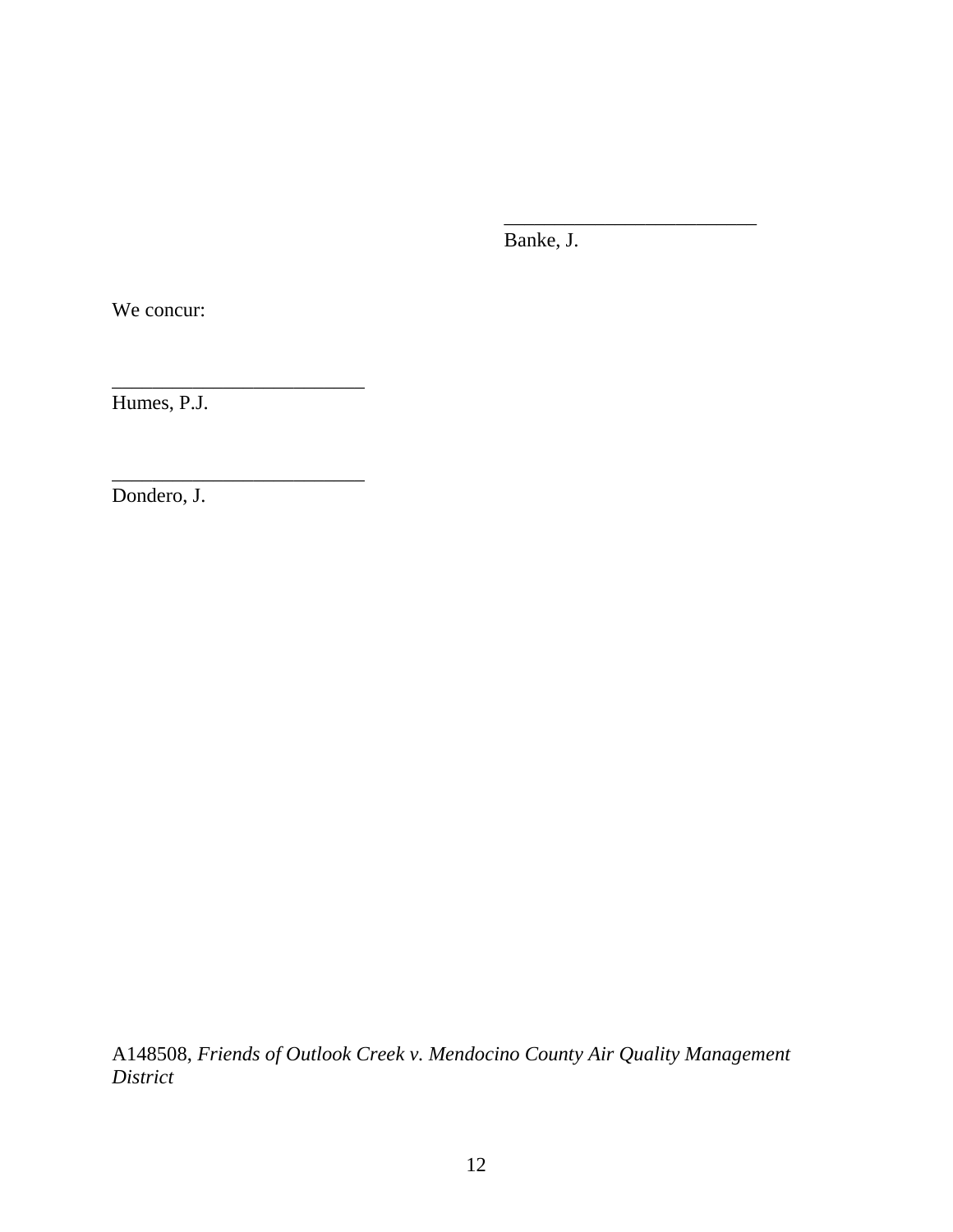Banke, J.

\_\_\_\_\_\_\_\_\_\_\_\_\_\_\_\_\_\_\_\_\_\_\_\_\_

We concur:

Humes, P.J.

\_\_\_\_\_\_\_\_\_\_\_\_\_\_\_\_\_\_\_\_\_\_\_\_\_

\_\_\_\_\_\_\_\_\_\_\_\_\_\_\_\_\_\_\_\_\_\_\_\_\_

Dondero, J.

A148508, *Friends of Outlook Creek v. Mendocino County Air Quality Management District*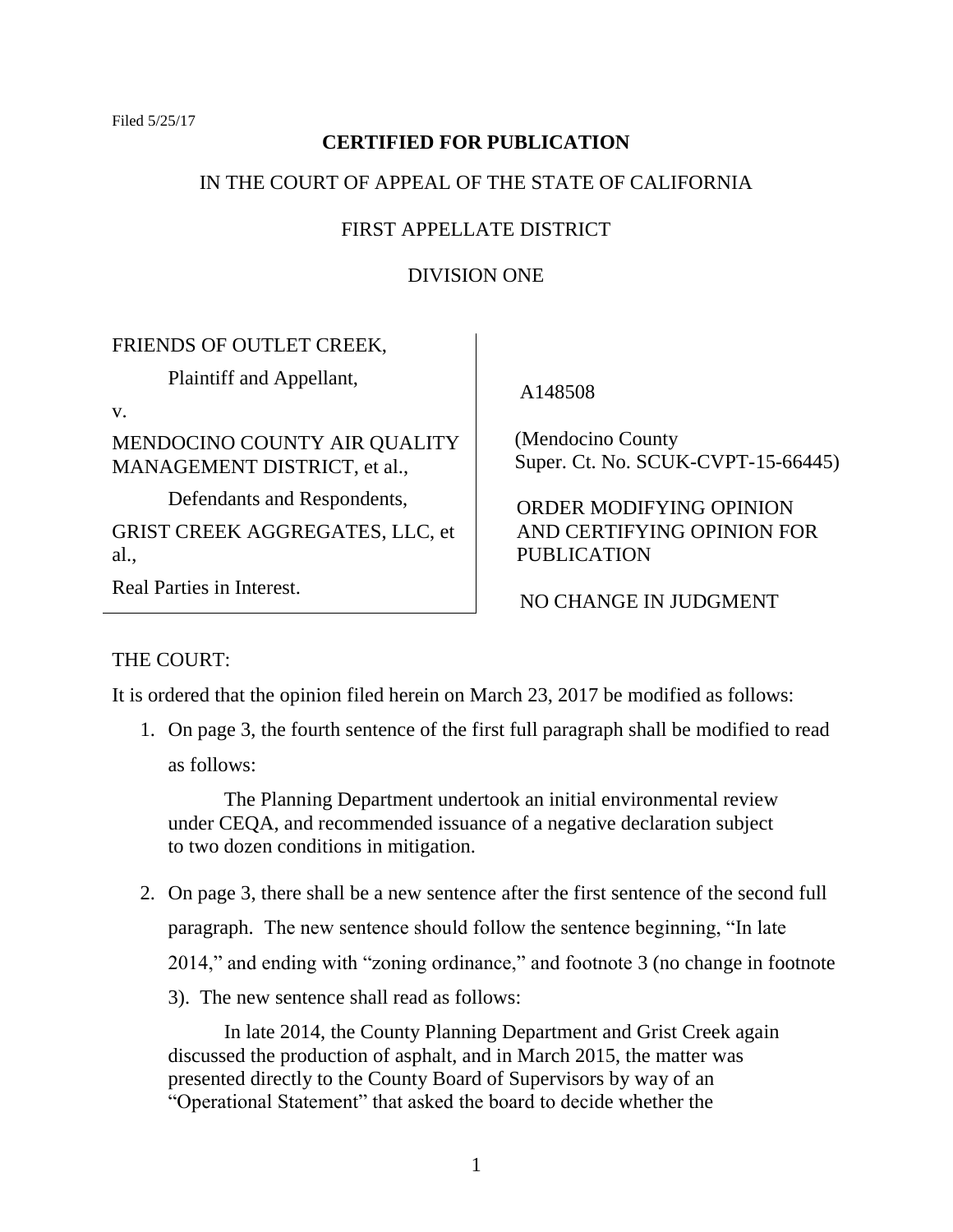Filed 5/25/17

## **CERTIFIED FOR PUBLICATION**

# IN THE COURT OF APPEAL OF THE STATE OF CALIFORNIA

# FIRST APPELLATE DISTRICT

## DIVISION ONE

# FRIENDS OF OUTLET CREEK,

Plaintiff and Appellant,

v.

MENDOCINO COUNTY AIR QUALITY MANAGEMENT DISTRICT, et al.,

Defendants and Respondents,

GRIST CREEK AGGREGATES, LLC, et al.,

Real Parties in Interest.

A148508

 (Mendocino County Super. Ct. No. SCUK-CVPT-15-66445)

ORDER MODIFYING OPINION AND CERTIFYING OPINION FOR PUBLICATION

NO CHANGE IN JUDGMENT

## THE COURT:

It is ordered that the opinion filed herein on March 23, 2017 be modified as follows:

1. On page 3, the fourth sentence of the first full paragraph shall be modified to read as follows:

The Planning Department undertook an initial environmental review under CEQA, and recommended issuance of a negative declaration subject to two dozen conditions in mitigation.

2. On page 3, there shall be a new sentence after the first sentence of the second full paragraph. The new sentence should follow the sentence beginning, "In late 2014," and ending with "zoning ordinance," and footnote 3 (no change in footnote 3). The new sentence shall read as follows:

In late 2014, the County Planning Department and Grist Creek again discussed the production of asphalt, and in March 2015, the matter was presented directly to the County Board of Supervisors by way of an "Operational Statement" that asked the board to decide whether the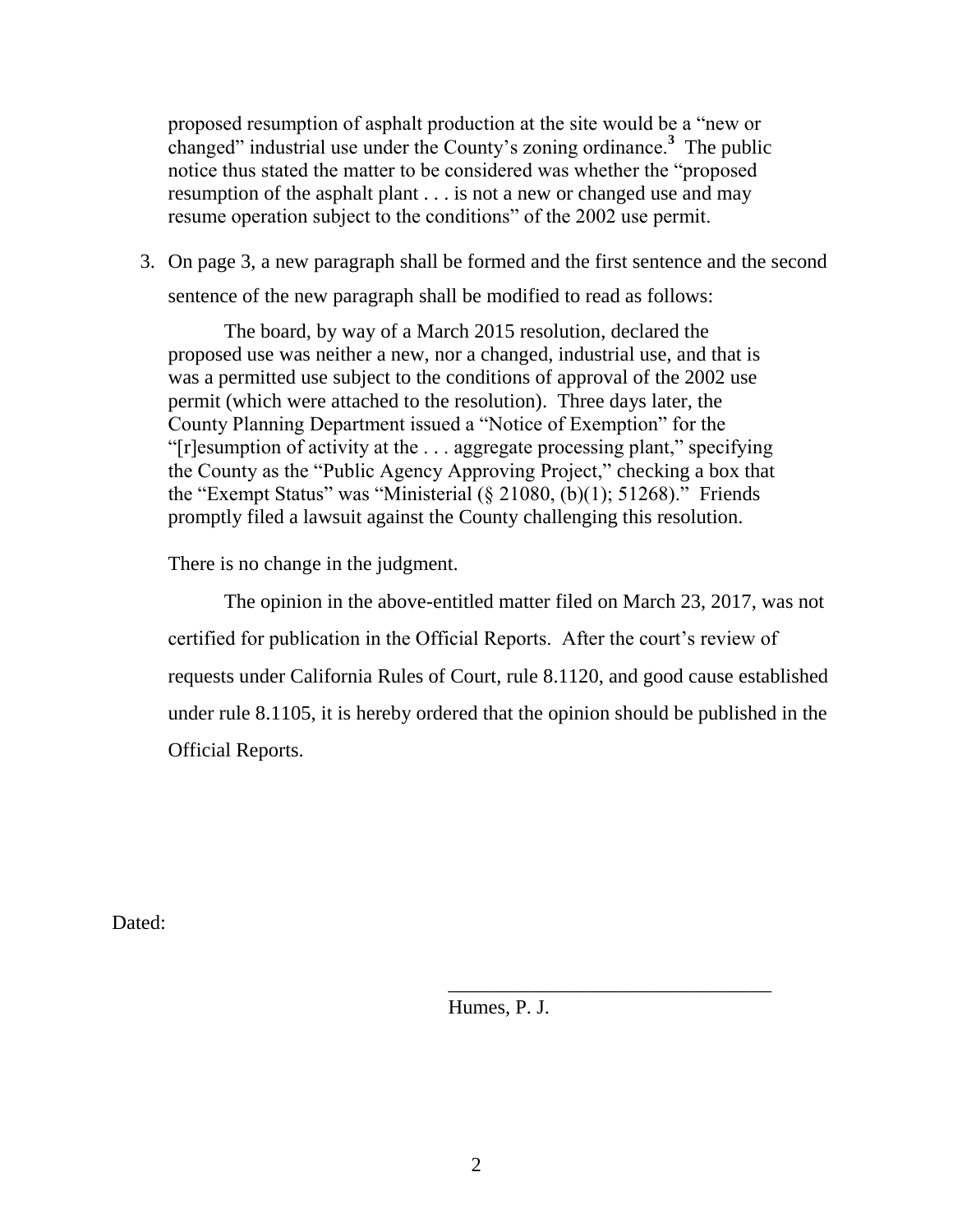proposed resumption of asphalt production at the site would be a "new or changed" industrial use under the County's zoning ordinance.**<sup>3</sup>** The public notice thus stated the matter to be considered was whether the "proposed resumption of the asphalt plant . . . is not a new or changed use and may resume operation subject to the conditions" of the 2002 use permit.

3. On page 3, a new paragraph shall be formed and the first sentence and the second sentence of the new paragraph shall be modified to read as follows:

The board, by way of a March 2015 resolution, declared the proposed use was neither a new, nor a changed, industrial use, and that is was a permitted use subject to the conditions of approval of the 2002 use permit (which were attached to the resolution). Three days later, the County Planning Department issued a "Notice of Exemption" for the "[r]esumption of activity at the . . . aggregate processing plant," specifying the County as the "Public Agency Approving Project," checking a box that the "Exempt Status" was "Ministerial  $(\S$  21080, (b)(1); 51268)." Friends promptly filed a lawsuit against the County challenging this resolution.

There is no change in the judgment.

The opinion in the above-entitled matter filed on March 23, 2017, was not certified for publication in the Official Reports. After the court's review of requests under California Rules of Court, rule 8.1120, and good cause established under rule 8.1105, it is hereby ordered that the opinion should be published in the Official Reports.

Dated:

Humes, P. J.

\_\_\_\_\_\_\_\_\_\_\_\_\_\_\_\_\_\_\_\_\_\_\_\_\_\_\_\_\_\_\_\_